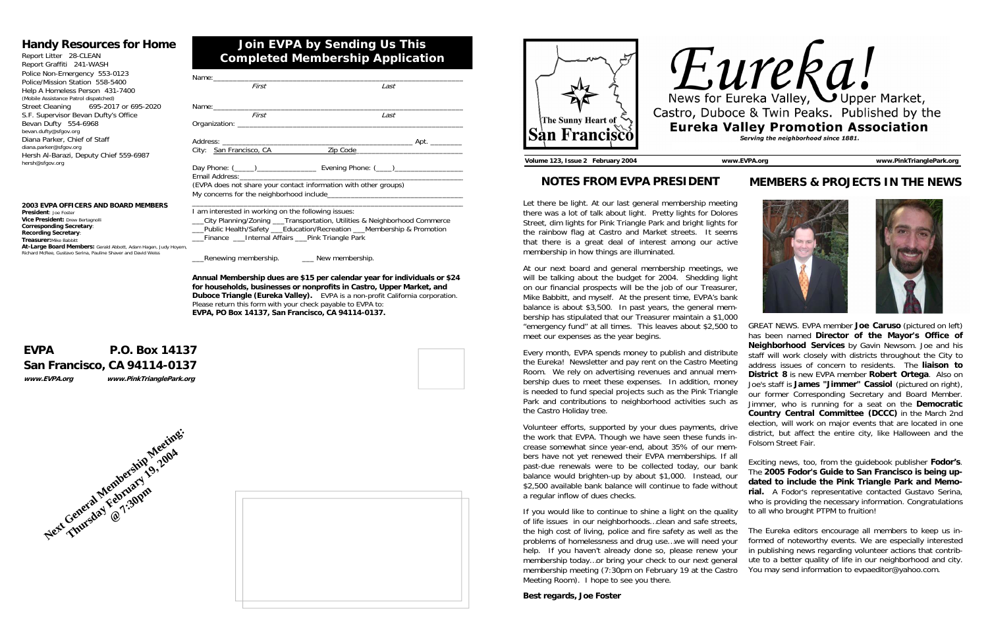| First                                               | Last                                                                                  |
|-----------------------------------------------------|---------------------------------------------------------------------------------------|
|                                                     |                                                                                       |
| First                                               | Last                                                                                  |
|                                                     |                                                                                       |
|                                                     |                                                                                       |
| City: San Francisco, CA                             | Zip Code 2000                                                                         |
|                                                     | Day Phone: ( <u>____) ________________</u> Evening Phone: ( ___) ____________________ |
|                                                     | (EVPA does not share your contact information with other groups)                      |
| I am interested in working on the following issues: | __City Planning/Zoning ___Transportation, Utilities & Neighborhood Commerce           |

\_\_\_Public Health/Safety \_\_\_Education/Recreation \_\_\_Membership & Promotion \_\_\_Finance \_\_\_Internal Affairs \_\_\_Pink Triangle Park

Renewing membership. \_\_\_\_\_\_\_\_ New membership.

**Vice President: Drew Bertagnoll Corresponding Secretary**: **Recording Secretary**: **Treasurer:**Mike Babbitt **At-Large Board Members:** Gerald Abbott, Adam Hagen, Judy Hoyem, Richard McRee, Gustavo Serina, Pauline Shaver and David Weiss

> **Annual Membership dues are \$15 per calendar year for individuals or \$24 for households, businesses or nonprofits in Castro, Upper Market, and Duboce Triangle (Eureka Valley).** EVPA is a non-profit California corporation. Please return this form with your check payable to EVPA to: **EVPA, PO Box 14137, San Francisco, CA 94114-0137.**

## **Join EVPA by Sending Us This Completed Membership Application**

## **Handy Resources for Home**

Report Litter 28-CLEAN Report Graffiti 241-WASH Police Non-Emergency 553-0123 Police/Mission Station 558-5400 Help A Homeless Person 431-7400 (Mobile Assistance Patrol dispatched) Street Cleaning 695-2017 or 695-2020 S.F. Supervisor Bevan Dufty's Office Bevan Dufty 554-6968 bevan.dufty@sfgov.org Diana Parker, Chief of Staff diana.parker@sfgov.org Hersh Al-Barazi, Deputy Chief 559-6987 hersh@sfgov.org

## **EVPA P.O. Box 14137 San Francisco, CA 94114-0137 www.EVPA.org www.PinkTrianglePark.org**



#### **2003 EVPA OFFICERS AND BOARD MEMBERS President**: Joe Foster







GREAT NEWS. EVPA member **Joe Caruso** (pictured on left) has been named **Director of the Mayor's Office of Neighborhood Services** by Gavin Newsom. Joe and his staff will work closely with districts throughout the City to address issues of concern to residents. The **liaison to District 8** is new EVPA member **Robert Ortega**. Also on Joe's staff is **James "Jimmer" Cassiol** (pictured on right), our former Corresponding Secretary and Board Member. Jimmer, who is running for a seat on the **Democratic Country Central Committee (DCCC)** in the March 2nd election, will work on major events that are located in one district, but affect the entire city, like Halloween and the Folsom Street Fair.

Exciting news, too, from the guidebook publisher **Fodor's**. The **2005 Fodor's Guide to San Francisco is being updated to include the Pink Triangle Park and Memorial.** A Fodor's representative contacted Gustavo Serina, who is providing the necessary information. Congratulations

## **NOTES FROM EVPA PRESIDENT**

Let there be light. At our last general membership meeting there was a lot of talk about light. Pretty lights for Dolores Street, dim lights for Pink Triangle Park and bright lights for the rainbow flag at Castro and Market streets. It seems that there is a great deal of interest among our active membership in how things are illuminated.

At our next board and general membership meetings, we will be talking about the budget for 2004. Shedding light on our financial prospects will be the job of our Treasurer, Mike Babbitt, and myself. At the present time, EVPA's bank balance is about \$3,500. In past years, the general membership has stipulated that our Treasurer maintain a \$1,000 "emergency fund" at all times. This leaves about \$2,500 to meet our expenses as the year begins.

to all who brought PTPM to fruition! The Eureka editors encourage all members to keep us informed of noteworthy events. We are especially interested in publishing news regarding volunteer actions that contribute to a better quality of life in our neighborhood and city. You may send information to evpaeditor@yahoo.com. If you would like to continue to shine a light on the quality of life issues in our neighborhoods…clean and safe streets, the high cost of living, police and fire safety as well as the problems of homelessness and drug use…we will need your help. If you haven't already done so, please renew your membership today…or bring your check to our next general membership meeting (7:30pm on February 19 at the Castro Meeting Room). I hope to see you there.

Every month, EVPA spends money to publish and distribute the Eureka! Newsletter and pay rent on the Castro Meeting Room. We rely on advertising revenues and annual membership dues to meet these expenses. In addition, money is needed to fund special projects such as the Pink Triangle Park and contributions to neighborhood activities such as the Castro Holiday tree.

Volunteer efforts, supported by your dues payments, drive the work that EVPA. Though we have seen these funds increase somewhat since year-end, about 35% of our members have not yet renewed their EVPA memberships. If all past-due renewals were to be collected today, our bank balance would brighten-up by about \$1,000. Instead, our \$2,500 available bank balance will continue to fade without a regular inflow of dues checks.

**Best regards, Joe Foster** 



**Volume 123, Issue 2 February 2004 www.EVPA.org www.PinkTrianglePark.org** 

### **MEMBERS & PROJECTS IN THE NEWS**



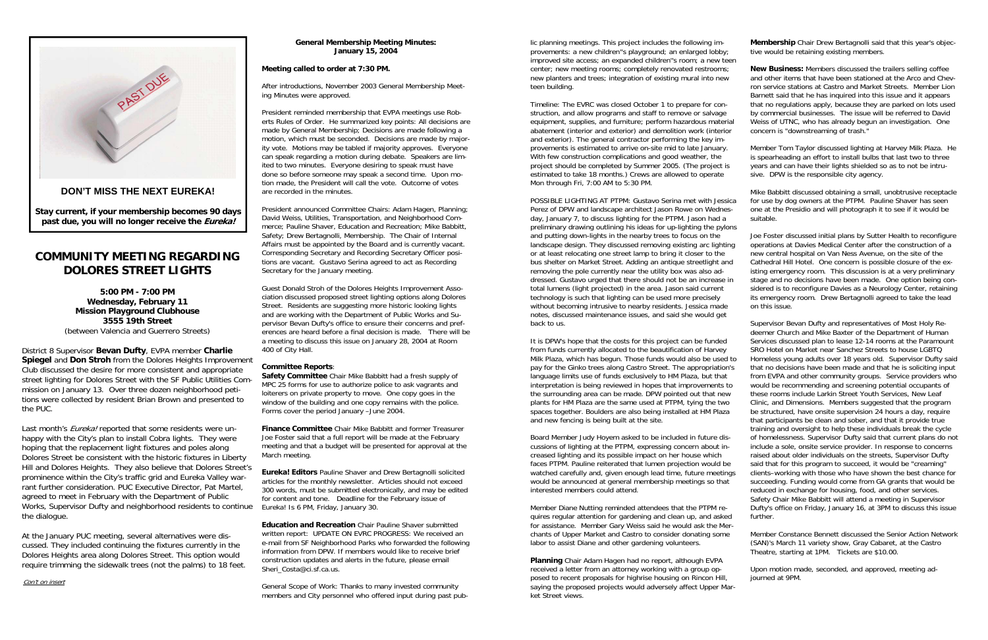#### **General Membership Meeting Minutes: January 15, 2004**

#### **Meeting called to order at 7:30 PM.**

After introductions, November 2003 General Membership Meeting Minutes were approved.

President reminded membership that EVPA meetings use Roberts Rules of Order. He summarized key points: All decisions are made by General Membership; Decisions are made following a motion, which must be seconded. Decisions are made by majority vote. Motions may be tabled if majority approves. Everyone can speak regarding a motion during debate. Speakers are limited to two minutes. Everyone desiring to speak must have done so before someone may speak a second time. Upon motion made, the President will call the vote. Outcome of votes are recorded in the minutes.

President announced Committee Chairs: Adam Hagen, Planning; David Weiss, Utilities, Transportation, and Neighborhood Commerce; Pauline Shaver, Education and Recreation; Mike Babbitt, Safety; Drew Bertagnolli, Membership. The Chair of Internal Affairs must be appointed by the Board and is currently vacant. Corresponding Secretary and Recording Secretary Officer positions are vacant. Gustavo Serina agreed to act as Recording Secretary for the January meeting.

Guest Donald Stroh of the Dolores Heights Improvement Association discussed proposed street lighting options along Dolores Street. Residents are suggesting more historic looking lights and are working with the Department of Public Works and Supervisor Bevan Dufty's office to ensure their concerns and preferences are heard before a final decision is made. There will be a meeting to discuss this issue on January 28, 2004 at Room 400 of City Hall.

#### **Committee Reports**:

**Safety Committee** Chair Mike Babbitt had a fresh supply of MPC 25 forms for use to authorize police to ask vagrants and loiterers on private property to move. One copy goes in the window of the building and one copy remains with the police. Forms cover the period January –June 2004.

**Finance Committee** Chair Mike Babbitt and former Treasurer Joe Foster said that a full report will be made at the February meeting and that a budget will be presented for approval at the March meeting.

**Eureka! Editors** Pauline Shaver and Drew Bertagnolli solicited articles for the monthly newsletter. Articles should not exceed 300 words, must be submitted electronically, and may be edited for content and tone. Deadline for the February issue of Eureka! Is 6 PM, Friday, January 30.

**Education and Recreation** Chair Pauline Shaver submitted written report: UPDATE ON EVRC PROGRESS: We received an e-mail from SF Neighborhood Parks who forwarded the following information from DPW. If members would like to receive brief construction updates and alerts in the future, please email Sheri\_Costa@ci.sf.ca.us.

General Scope of Work: Thanks to many invested community members and City personnel who offered input during past pub-



# **COMMUNITY MEETING REGARDING DOLORES STREET LIGHTS**

**5:00 PM - 7:00 PM Wednesday, February 11 Mission Playground Clubhouse 3555 19th Street** 

(between Valencia and Guerrero Streets)<br>District 8 Supervisor **Bevan Dufty**, EVPA member Charlie<br>Spiegel and Don Stroh from the Dolores Heights Improvement<br>Club discussed the desire for more consistent and appropriate<br>stre mission on January 13. Over three dozen neighborhood peti tions were collected by resident Brian Brown and presented to the PUC.<br>Last month's *Eureka!* reported that some residents were un-

happy with the City's plan to install Cobra lights. They were<br>hoping that the replacement light fixtures and poles along<br>Dolores Street be consistent with the historic fixtures in Liberty<br>Hill and Dolores Heights. They als rant further consideration. PUC Executive Director, Pat Martel,<br>agreed to meet in February with the Department of Public<br>Works, Supervisor Dufty and neighborhood residents to continue<br>the dialogue.<br>At the January PUC meeti

cussed. They included continuing the fixtures currently in the Dolores Heights area along Dolores Street. This option would require trimming the sidewalk trees (not the palms) to 18 feet.

#### Con't on insert

lic planning meetings. This project includes the following improvements: a new children''s playground; an enlarged lobby; improved site access; an expanded children''s room; a new teen center; new meeting rooms; completely renovated restrooms; new planters and trees; integration of existing mural into new teen building. **Membership** Chair Drew Bertagnolli said that this year's objective would be retaining existing members. **New Business:** Members discussed the trailers selling coffee

Timeline: The EVRC was closed October 1 to prepare for construction, and allow programs and staff to remove or salvage equipment, supplies, and furniture; perform hazardous material abatement (interior and exterior) and demolition work (interior and exterior). The general contractor performing the key improvements is estimated to arrive on-site mid to late January. With few construction complications and good weather, the project should be completed by Summer 2005. (The project is estimated to take 18 months.) Crews are allowed to operate Mon through Fri, 7:00 AM to 5:30 PM. that no regulations apply, because they are parked on lots used by commercial businesses. The issue will be referred to David Weiss of UTNC, who has already begun an investigation. One concern is "downstreaming of trash." Member Tom Taylor discussed lighting at Harvey Milk Plaza. He is spearheading an effort to install bulbs that last two to three years and can have their lights shielded so as to not be intrusive. DPW is the responsible city agency.

POSSIBLE LIGHTING AT PTPM: Gustavo Serina met with Jessica Perez of DPW and landscape architect Jason Rowe on Wednesday, January 7, to discuss lighting for the PTPM. Jason had a preliminary drawing outlining his ideas for up-lighting the pylons and putting down-lights in the nearby trees to focus on the landscape design. They discussed removing existing arc lighting or at least relocating one street lamp to bring it closer to the bus shelter on Market Street. Adding an antique streetlight and removing the pole currently near the utility box was also addressed. Gustavo urged that there should not be an increase in total lumens (light projected) in the area. Jason said current technology is such that lighting can be used more precisely without becoming intrusive to nearby residents. Jessica made notes, discussed maintenance issues, and said she would get back to us. Mike Babbitt discussed obtaining a small, unobtrusive receptacle for use by dog owners at the PTPM. Pauline Shaver has seen one at the Presidio and will photograph it to see if it would be suitable. Joe Foster discussed initial plans by Sutter Health to reconfigure operations at Davies Medical Center after the construction of a new central hospital on Van Ness Avenue, on the site of the Cathedral Hill Hotel. One concern is possible closure of the existing emergency room. This discussion is at a very preliminary stage and no decisions have been made. One option being considered is to reconfigure Davies as a Neurology Center, retaining its emergency room. Drew Bertagnolli agreed to take the lead on this issue. Supervisor Bevan Dufty and representatives of Most Holy Re-

for assistance. Member Gary Weiss said he would ask the Merchants of Upper Market and Castro to consider donating some labor to assist Diane and other gardening volunteers.

**Planning** Chair Adam Hagen had no report, although EVPA received a letter from an attorney working with a group opposed to recent proposals for highrise housing on Rincon Hill, saying the proposed projects would adversely affect Upper Market Street views.

and other items that have been stationed at the Arco and Chevron service stations at Castro and Market Streets. Member Lion Barnett said that he has inquired into this issue and it appears

It is DPW's hope that the costs for this project can be funded from funds currently allocated to the beautification of Harvey Milk Plaza, which has begun. Those funds would also be used to pay for the Ginko trees along Castro Street. The appropriation's language limits use of funds exclusively to HM Plaza, but that interpretation is being reviewed in hopes that improvements to the surrounding area can be made. DPW pointed out that new plants for HM Plaza are the same used at PTPM, tying the two spaces together. Boulders are also being installed at HM Plaza and new fencing is being built at the site. Board Member Judy Hoyem asked to be included in future discussions of lighting at the PTPM, expressing concern about increased lighting and its possible impact on her house which faces PTPM. Pauline reiterated that lumen projection would be watched carefully and, given enough lead time, future meetings would be announced at general membership meetings so that interested members could attend. Member Diane Nutting reminded attendees that the PTPM requires regular attention for gardening and clean up, and asked deemer Church and Mike Baxter of the Department of Human Services discussed plan to lease 12-14 rooms at the Paramount SRO Hotel on Market near Sanchez Streets to house LGBTQ Homeless young adults over 18 years old. Supervisor Dufty said that no decisions have been made and that he is soliciting input from EVPA and other community groups. Service providers who would be recommending and screening potential occupants of these rooms include Larkin Street Youth Services, New Leaf Clinic, and Dimensions. Members suggested that the program be structured, have onsite supervision 24 hours a day, require that participants be clean and sober, and that it provide true training and oversight to help these individuals break the cycle of homelessness. Supervisor Dufty said that current plans do not include a sole, onsite service provider. In response to concerns raised about older individuals on the streets, Supervisor Dufty said that for this program to succeed, it would be "creaming" clients–working with those who have shown the best chance for succeeding. Funding would come from GA grants that would be reduced in exchange for housing, food, and other services. Safety Chair Mike Babbitt will attend a meeting in Supervisor Dufty's office on Friday, January 16, at 3PM to discuss this issue further.

Member Constance Bennett discussed the Senior Action Network (SAN)'s March 11 variety show, Gray Cabaret, at the Castro Theatre, starting at 1PM. Tickets are \$10.00.

Upon motion made, seconded, and approved, meeting adjourned at 9PM.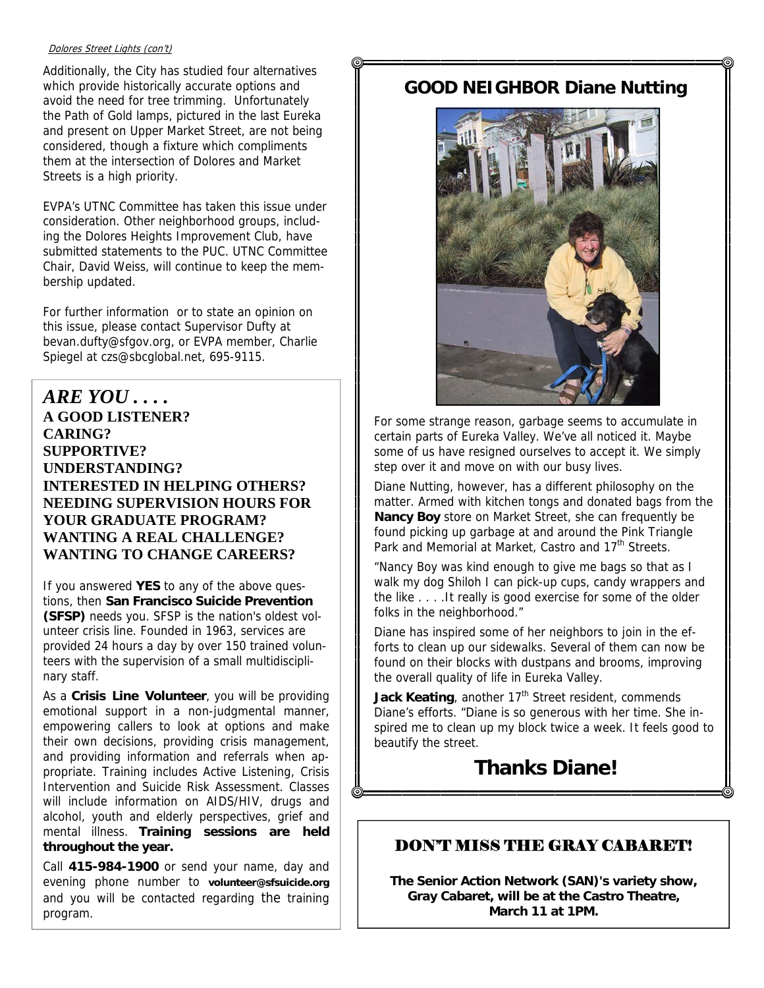#### Dolores Street Lights (con't)

Additionally, the City has studied four alternatives which provide historically accurate options and avoid the need for tree trimming. Unfortunately the Path of Gold lamps, pictured in the last Eureka and present on Upper Market Street, are not being considered, though a fixture which compliments them at the intersection of Dolores and Market Streets is a high priority.

EVPA's UTNC Committee has taken this issue under consideration. Other neighborhood groups, including the Dolores Heights Improvement Club, have submitted statements to the PUC. UTNC Committee Chair, David Weiss, will continue to keep the membership updated.

For further information or to state an opinion on this issue, please contact Supervisor Dufty at bevan.dufty@sfgov.org, or EVPA member, Charlie Spiegel at czs@sbcglobal.net, 695-9115.

*ARE YOU . . . .*  **A GOOD LISTENER? CARING? SUPPORTIVE? UNDERSTANDING? INTERESTED IN HELPING OTHERS? NEEDING SUPERVISION HOURS FOR YOUR GRADUATE PROGRAM? WANTING A REAL CHALLENGE? WANTING TO CHANGE CAREERS?** 

If you answered **YES** to any of the above questions, then **San Francisco Suicide Prevention (SFSP)** needs you. SFSP is the nation's oldest volunteer crisis line. Founded in 1963, services are provided 24 hours a day by over 150 trained volunteers with the supervision of a small multidisciplinary staff.

As a **Crisis Line Volunteer**, you will be providing emotional support in a non-judgmental manner, empowering callers to look at options and make their own decisions, providing crisis management, and providing information and referrals when appropriate. Training includes Active Listening, Crisis Intervention and Suicide Risk Assessment. Classes will include information on AIDS/HIV, drugs and alcohol, youth and elderly perspectives, grief and mental illness. **Training sessions are held throughout the year.**

Call **415-984-1900** or send your name, day and evening phone number to **volunteer@sfsuicide.org** and you will be contacted regarding the training program.

## **GOOD NEIGHBOR Diane Nutting**



For some strange reason, garbage seems to accumulate in certain parts of Eureka Valley. We've all noticed it. Maybe some of us have resigned ourselves to accept it. We simply step over it and move on with our busy lives.

Diane Nutting, however, has a different philosophy on the matter. Armed with kitchen tongs and donated bags from the **Nancy Boy** store on Market Street, she can frequently be found picking up garbage at and around the Pink Triangle Park and Memorial at Market, Castro and 17<sup>th</sup> Streets.

"Nancy Boy was kind enough to give me bags so that as I walk my dog Shiloh I can pick-up cups, candy wrappers and the like . . . .It really is good exercise for some of the older folks in the neighborhood."

Diane has inspired some of her neighbors to join in the efforts to clean up our sidewalks. Several of them can now be found on their blocks with dustpans and brooms, improving the overall quality of life in Eureka Valley.

Jack Keating, another 17<sup>th</sup> Street resident, commends Diane's efforts. "Diane is so generous with her time. She inspired me to clean up my block twice a week. It feels good to beautify the street.

# **Thanks Diane!**

## DON'T MISS THE GRAY CABARET!

**The Senior Action Network (SAN)'s variety show, Gray Cabaret, will be at the Castro Theatre, March 11 at 1PM.**